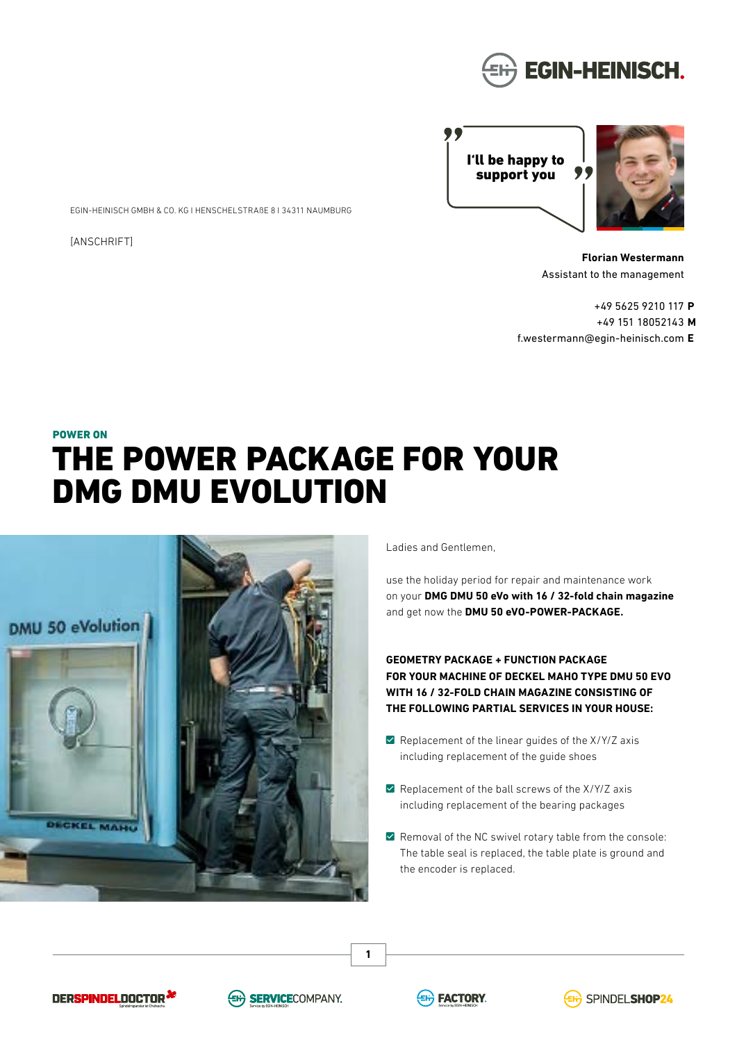

I'll be happy to ,, support you



**Florian Westermann** Assistant to the management

+49 5625 9210 117 **P** +49 151 18052143 **M** f.westermann@egin-heinisch.com **E**

# POWER ON THE POWER PACKAGE FOR YOUR DMG DMU EVOLUTION



EGIN-HEINISCH GMBH & CO. KG I HENSCHELSTRAßE 8 I 34311 NAUMBURG

[ANSCHRIFT]

Ladies and Gentlemen,

use the holiday period for repair and maintenance work on your **DMG DMU 50 eVo with 16 / 32-fold chain magazine** and get now the **DMU 50 eVO-POWER-PACKAGE.**

**GEOMETRY PACKAGE + FUNCTION PACKAGE FOR YOUR MACHINE OF DECKEL MAHO TYPE DMU 50 EVO WITH 16 / 32-FOLD CHAIN MAGAZINE CONSISTING OF THE FOLLOWING PARTIAL SERVICES IN YOUR HOUSE:**

- $\blacksquare$  Replacement of the linear quides of the X/Y/Z axis including replacement of the guide shoes
- $\blacksquare$  Replacement of the ball screws of the X/Y/Z axis including replacement of the bearing packages
- $\blacksquare$  Removal of the NC swivel rotary table from the console: The table seal is replaced, the table plate is ground and the encoder is replaced.







**1**